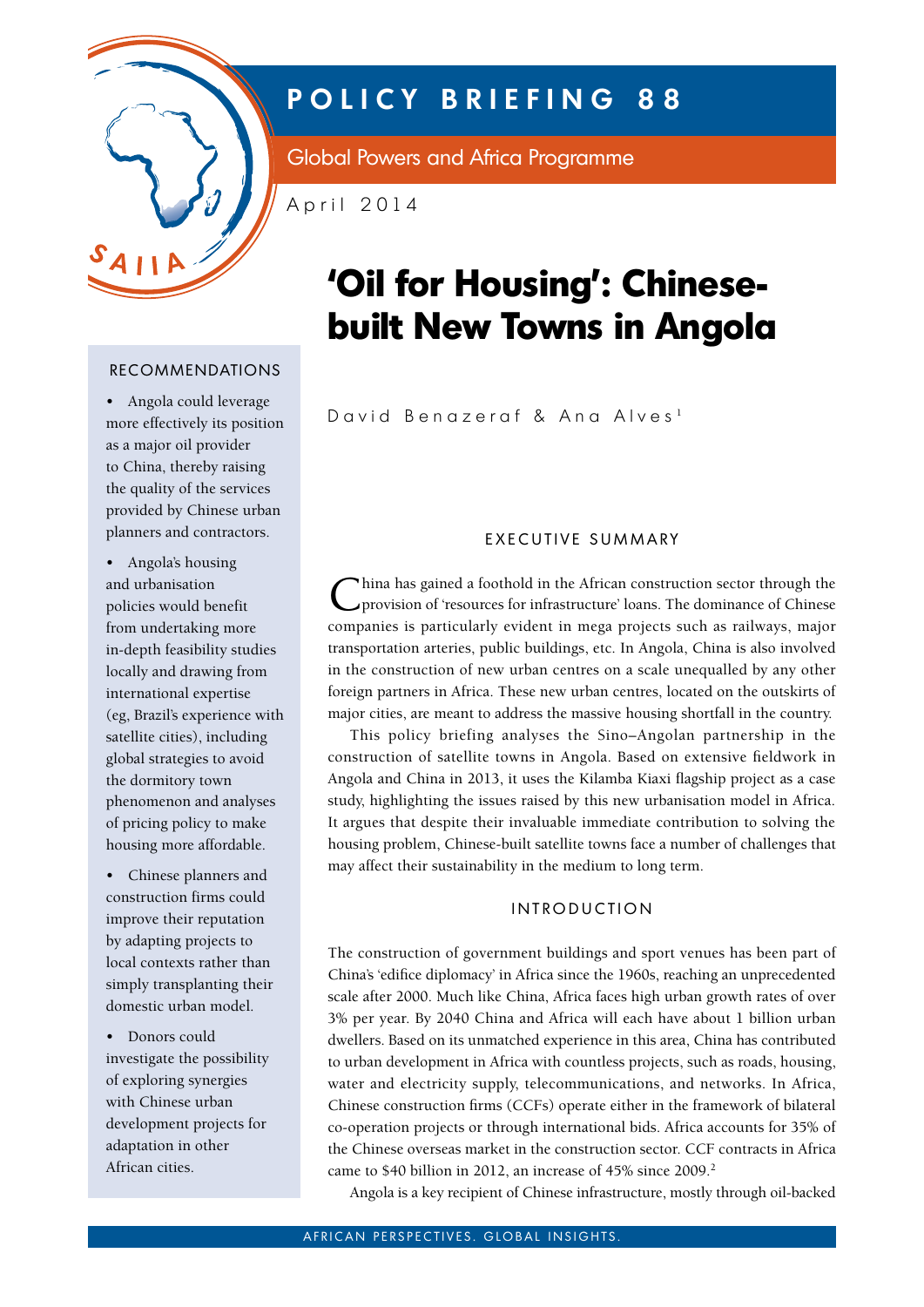

# **POLICY BRIEFING 88**

Global Powers and Africa Programme

April 2014

# **'Oil for Housing': Chinesebuilt New Towns in Angola**

David Benazeraf & Ana Alves <sup>1</sup>

# recommendations

• Angola could leverage more effectively its position as a major oil provider to China, thereby raising the quality of the services provided by Chinese urban planners and contractors.

• Angola's housing and urbanisation policies would benefit from undertaking more in-depth feasibility studies locally and drawing from international expertise (eg, Brazil's experience with satellite cities), including global strategies to avoid the dormitory town phenomenon and analyses of pricing policy to make housing more affordable.

• Chinese planners and construction firms could improve their reputation by adapting projects to local contexts rather than simply transplanting their domestic urban model.

• Donors could investigate the possibility of exploring synergies with Chinese urban development projects for adaptation in other African cities.

# EXECUTIVE SUMMARY

China has gained a foothold in the African construction sector through the provision of 'resources for infrastructure' loans. The dominance of Chinese companies is particularly evident in mega projects such as railways, major transportation arteries, public buildings, etc. In Angola, China is also involved in the construction of new urban centres on a scale unequalled by any other foreign partners in Africa. These new urban centres, located on the outskirts of major cities, are meant to address the massive housing shortfall in the country.

This policy briefing analyses the Sino–Angolan partnership in the construction of satellite towns in Angola. Based on extensive fieldwork in Angola and China in 2013, it uses the Kilamba Kiaxi flagship project as a case study, highlighting the issues raised by this new urbanisation model in Africa. It argues that despite their invaluable immediate contribution to solving the housing problem, Chinese-built satellite towns face a number of challenges that may affect their sustainability in the medium to long term.

# **INTRODUCTION**

The construction of government buildings and sport venues has been part of China's 'edifice diplomacy' in Africa since the 1960s, reaching an unprecedented scale after 2000. Much like China, Africa faces high urban growth rates of over 3% per year. By 2040 China and Africa will each have about 1 billion urban dwellers. Based on its unmatched experience in this area, China has contributed to urban development in Africa with countless projects, such as roads, housing, water and electricity supply, telecommunications, and networks. In Africa, Chinese construction firms (CCFs) operate either in the framework of bilateral co-operation projects or through international bids. Africa accounts for 35% of the Chinese overseas market in the construction sector. CCF contracts in Africa came to \$40 billion in 2012, an increase of 45% since 2009.<sup>2</sup>

Angola is a key recipient of Chinese infrastructure, mostly through oil-backed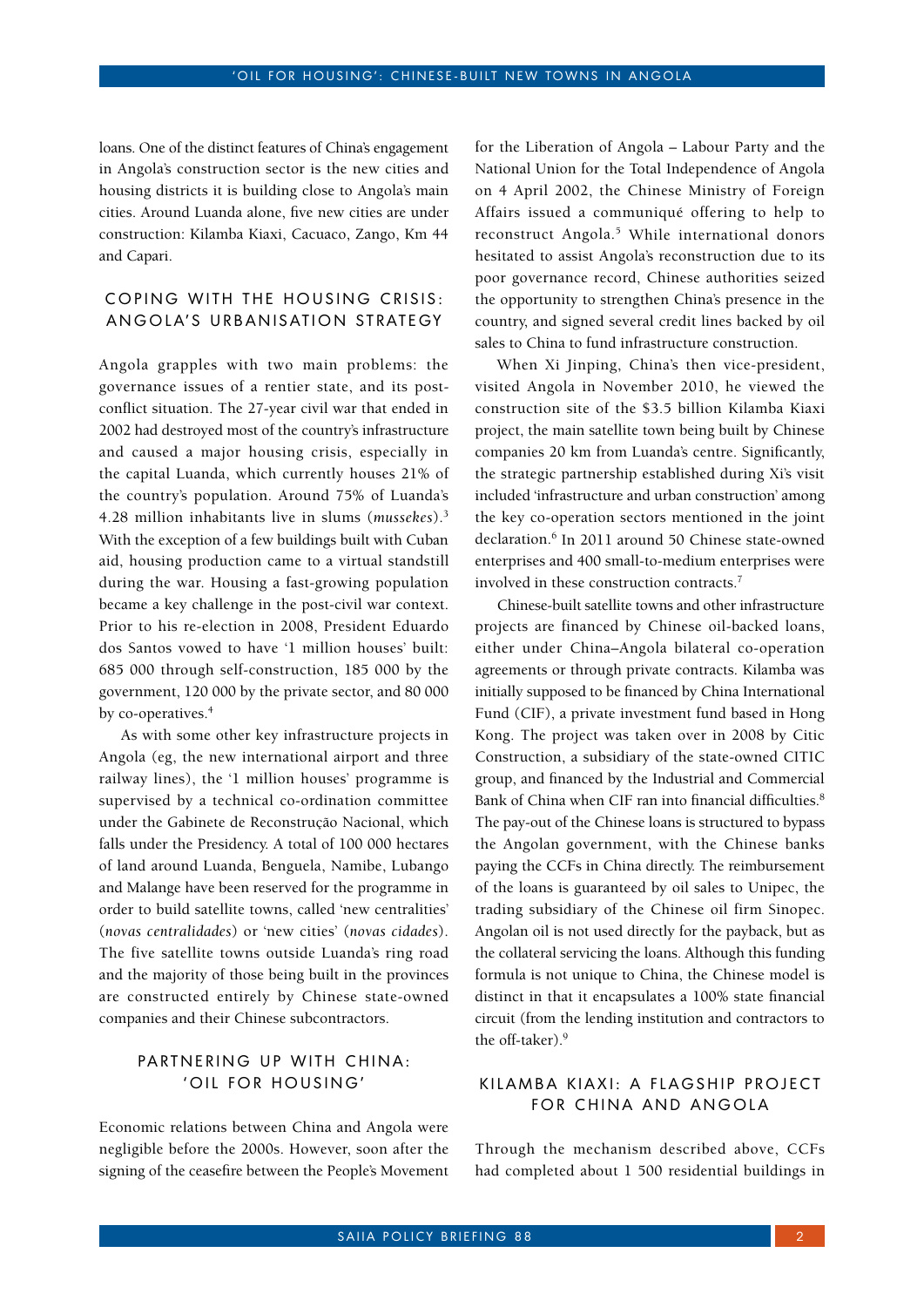loans. One of the distinct features of China's engagement in Angola's construction sector is the new cities and housing districts it is building close to Angola's main cities. Around Luanda alone, five new cities are under construction: Kilamba Kiaxi, Cacuaco, Zango, Km 44 and Capari.

# COPING WITH THE HOUSING CRISIS: ANGOLA'S URBANISATION STRATEGY

Angola grapples with two main problems: the governance issues of a rentier state, and its postconflict situation. The 27-year civil war that ended in 2002 had destroyed most of the country's infrastructure and caused a major housing crisis, especially in the capital Luanda, which currently houses 21% of the country's population. Around 75% of Luanda's 4.28 million inhabitants live in slums (*mussekes*).3 With the exception of a few buildings built with Cuban aid, housing production came to a virtual standstill during the war. Housing a fast-growing population became a key challenge in the post-civil war context. Prior to his re-election in 2008, President Eduardo dos Santos vowed to have '1 million houses' built: 685 000 through self-construction, 185 000 by the government, 120 000 by the private sector, and 80 000 by co-operatives.<sup>4</sup>

As with some other key infrastructure projects in Angola (eg, the new international airport and three railway lines), the '1 million houses' programme is supervised by a technical co-ordination committee under the Gabinete de Reconstrução Nacional, which falls under the Presidency. A total of 100 000 hectares of land around Luanda, Benguela, Namibe, Lubango and Malange have been reserved for the programme in order to build satellite towns, called 'new centralities' (*novas centralidades*) or 'new cities' (*novas cidades*). The five satellite towns outside Luanda's ring road and the majority of those being built in the provinces are constructed entirely by Chinese state-owned companies and their Chinese subcontractors.

### PARTNERING UP WITH CHINA: ' OIL FOR HOUSING'

Economic relations between China and Angola were negligible before the 2000s. However, soon after the signing of the ceasefire between the People's Movement for the Liberation of Angola – Labour Party and the National Union for the Total Independence of Angola on 4 April 2002, the Chinese Ministry of Foreign Affairs issued a communiqué offering to help to reconstruct Angola.<sup>5</sup> While international donors hesitated to assist Angola's reconstruction due to its poor governance record, Chinese authorities seized the opportunity to strengthen China's presence in the country, and signed several credit lines backed by oil sales to China to fund infrastructure construction.

When Xi Jinping, China's then vice-president, visited Angola in November 2010, he viewed the construction site of the \$3.5 billion Kilamba Kiaxi project, the main satellite town being built by Chinese companies 20 km from Luanda's centre. Significantly, the strategic partnership established during Xi's visit included 'infrastructure and urban construction' among the key co-operation sectors mentioned in the joint declaration.<sup>6</sup> In 2011 around 50 Chinese state-owned enterprises and 400 small-to-medium enterprises were involved in these construction contracts.7

Chinese-built satellite towns and other infrastructure projects are financed by Chinese oil-backed loans, either under China–Angola bilateral co-operation agreements or through private contracts. Kilamba was initially supposed to be financed by China International Fund (CIF), a private investment fund based in Hong Kong. The project was taken over in 2008 by Citic Construction, a subsidiary of the state-owned CITIC group, and financed by the Industrial and Commercial Bank of China when CIF ran into financial difficulties.<sup>8</sup> The pay-out of the Chinese loans is structured to bypass the Angolan government, with the Chinese banks paying the CCFs in China directly. The reimbursement of the loans is guaranteed by oil sales to Unipec, the trading subsidiary of the Chinese oil firm Sinopec. Angolan oil is not used directly for the payback, but as the collateral servicing the loans. Although this funding formula is not unique to China, the Chinese model is distinct in that it encapsulates a 100% state financial circuit (from the lending institution and contractors to the off-taker).9

#### KILAMBA KIAXI: A FLAGSHIP PROJECT FOR CHINA AND ANGOLA

Through the mechanism described above, CCFs had completed about 1 500 residential buildings in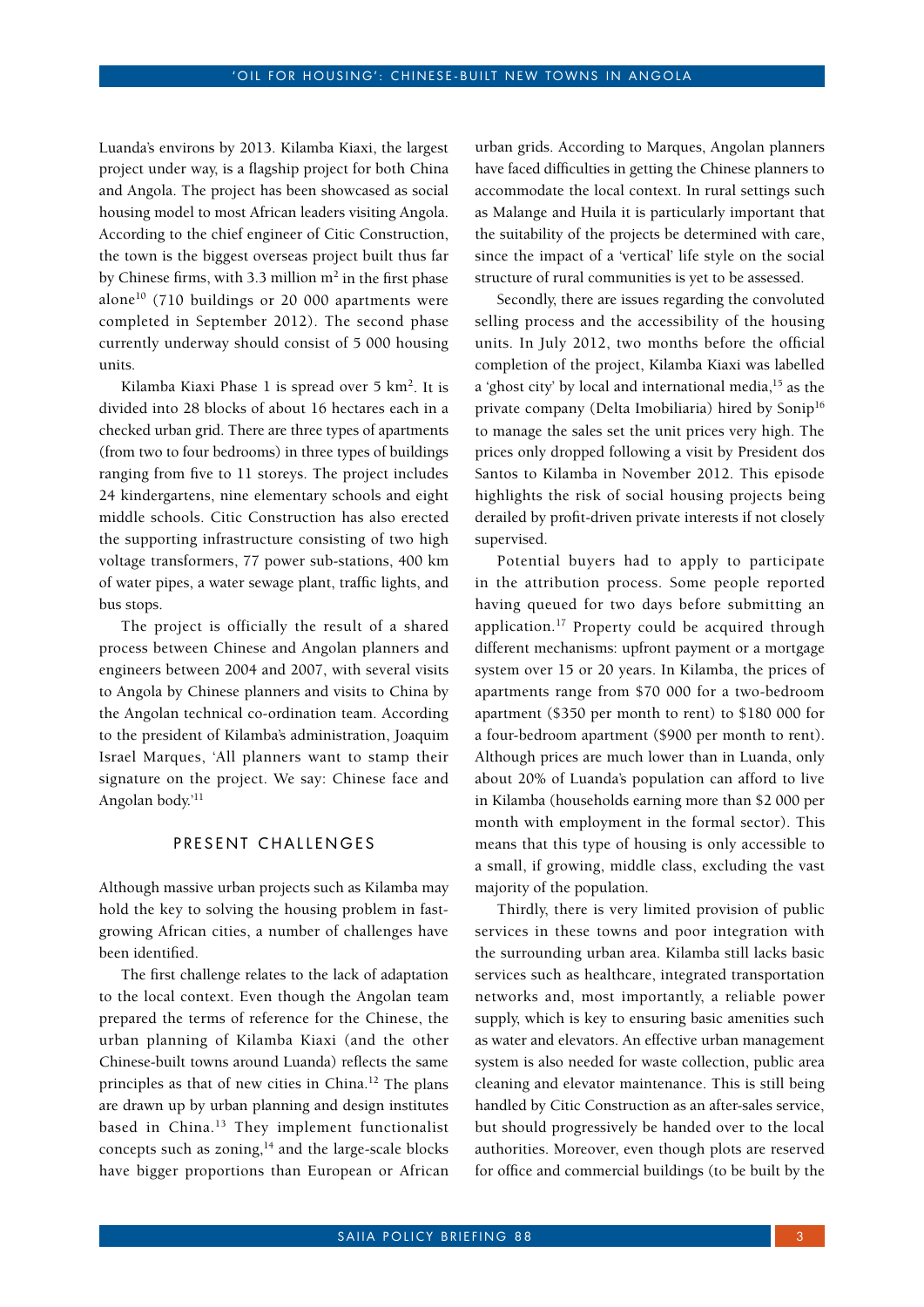Luanda's environs by 2013. Kilamba Kiaxi, the largest project under way, is a flagship project for both China and Angola. The project has been showcased as social housing model to most African leaders visiting Angola. According to the chief engineer of Citic Construction, the town is the biggest overseas project built thus far by Chinese firms, with 3.3 million  $m<sup>2</sup>$  in the first phase alone<sup>10</sup> (710 buildings or 20 000 apartments were completed in September 2012). The second phase currently underway should consist of 5 000 housing units.

Kilamba Kiaxi Phase  $1$  is spread over  $5 \text{ km}^2$ . It is divided into 28 blocks of about 16 hectares each in a checked urban grid. There are three types of apartments (from two to four bedrooms) in three types of buildings ranging from five to 11 storeys. The project includes 24 kindergartens, nine elementary schools and eight middle schools. Citic Construction has also erected the supporting infrastructure consisting of two high voltage transformers, 77 power sub-stations, 400 km of water pipes, a water sewage plant, traffic lights, and bus stops.

The project is officially the result of a shared process between Chinese and Angolan planners and engineers between 2004 and 2007, with several visits to Angola by Chinese planners and visits to China by the Angolan technical co-ordination team. According to the president of Kilamba's administration, Joaquim Israel Marques, 'All planners want to stamp their signature on the project. We say: Chinese face and Angolan body.'11

#### PRESENT CHALLENGES

Although massive urban projects such as Kilamba may hold the key to solving the housing problem in fastgrowing African cities, a number of challenges have been identified.

The first challenge relates to the lack of adaptation to the local context. Even though the Angolan team prepared the terms of reference for the Chinese, the urban planning of Kilamba Kiaxi (and the other Chinese-built towns around Luanda) reflects the same principles as that of new cities in China.<sup>12</sup> The plans are drawn up by urban planning and design institutes based in China.<sup>13</sup> They implement functionalist concepts such as zoning, $14$  and the large-scale blocks have bigger proportions than European or African

urban grids. According to Marques, Angolan planners have faced difficulties in getting the Chinese planners to accommodate the local context. In rural settings such as Malange and Huila it is particularly important that the suitability of the projects be determined with care, since the impact of a 'vertical' life style on the social structure of rural communities is yet to be assessed.

Secondly, there are issues regarding the convoluted selling process and the accessibility of the housing units. In July 2012, two months before the official completion of the project, Kilamba Kiaxi was labelled a 'ghost city' by local and international media,<sup>15</sup> as the private company (Delta Imobiliaria) hired by Sonip<sup>16</sup> to manage the sales set the unit prices very high. The prices only dropped following a visit by President dos Santos to Kilamba in November 2012. This episode highlights the risk of social housing projects being derailed by profit-driven private interests if not closely supervised.

Potential buyers had to apply to participate in the attribution process. Some people reported having queued for two days before submitting an application.<sup>17</sup> Property could be acquired through different mechanisms: upfront payment or a mortgage system over 15 or 20 years. In Kilamba, the prices of apartments range from \$70 000 for a two-bedroom apartment (\$350 per month to rent) to \$180 000 for a four-bedroom apartment (\$900 per month to rent). Although prices are much lower than in Luanda, only about 20% of Luanda's population can afford to live in Kilamba (households earning more than \$2 000 per month with employment in the formal sector). This means that this type of housing is only accessible to a small, if growing, middle class, excluding the vast majority of the population.

Thirdly, there is very limited provision of public services in these towns and poor integration with the surrounding urban area. Kilamba still lacks basic services such as healthcare, integrated transportation networks and, most importantly, a reliable power supply, which is key to ensuring basic amenities such as water and elevators. An effective urban management system is also needed for waste collection, public area cleaning and elevator maintenance. This is still being handled by Citic Construction as an after-sales service, but should progressively be handed over to the local authorities. Moreover, even though plots are reserved for office and commercial buildings (to be built by the